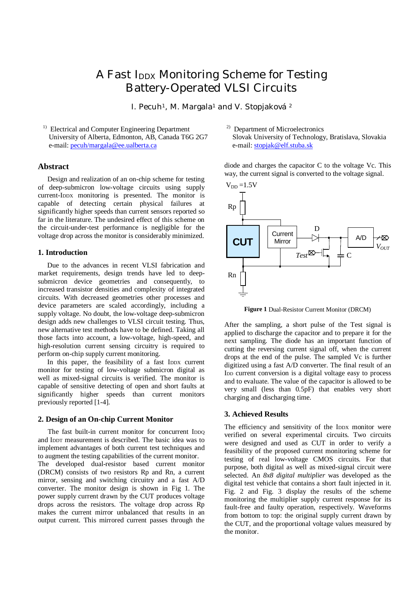# A Fast I<sub>DDX</sub> Monitoring Scheme for Testing Battery-Operated VLSI Circuits

I. Pecuh<sup>1</sup>, M. Margala<sup>1</sup> and V. Stopjaková <sup>2</sup>

<sup>1)</sup> Electrical and Computer Engineering Department University of Alberta, Edmonton, AB, Canada T6G 2G7 e-mail: pecuh/margala@ee.ualberta.ca

## **Abstract**

Design and realization of an on-chip scheme for testing of deep-submicron low-voltage circuits using supply current-IDDX monitoring is presented. The monitor is capable of detecting certain physical failures at significantly higher speeds than current sensors reported so far in the literature. The undesired effect of this scheme on the circuit-under-test performance is negligible for the voltage drop across the monitor is considerably minimized.

### **1. Introduction**

Due to the advances in recent VLSI fabrication and market requirements, design trends have led to deepsubmicron device geometries and consequently, to increased transistor densities and complexity of integrated circuits. With decreased geometries other processes and device parameters are scaled accordingly, including a supply voltage. No doubt, the low-voltage deep-submicron design adds new challenges to VLSI circuit testing. Thus, new alternative test methods have to be defined. Taking all those facts into account, a low-voltage, high-speed, and high-resolution current sensing circuitry is required to perform on-chip supply current monitoring.

In this paper, the feasibility of a fast IDDX current monitor for testing of low-voltage submicron digital as well as mixed-signal circuits is verified. The monitor is capable of sensitive detecting of open and short faults at significantly higher speeds than current monitors previously reported [1-4].

## **2. Design of an On-chip Current Monitor**

The fast built-in current monitor for concurrent IDDQ and IDDT measurement is described. The basic idea was to implement advantages of both current test techniques and to augment the testing capabilities of the current monitor.

The developed dual-resistor based current monitor (DRCM) consists of two resistors Rp and Rn, a current mirror, sensing and switching circuitry and a fast A/D converter. The monitor design is shown in Fig 1. The power supply current drawn by the CUT produces voltage drops across the resistors. The voltage drop across Rp makes the current mirror unbalanced that results in an output current. This mirrored current passes through the 2) Department of Microelectronics

Slovak University of Technology, Bratislava, Slovakia e-mail: stopjak@elf.stuba.sk

diode and charges the capacitor C to the voltage Vc. This way, the current signal is converted to the voltage signal.



**Figure 1** Dual-Resistor Current Monitor (DRCM)

After the sampling, a short pulse of the Test signal is applied to discharge the capacitor and to prepare it for the next sampling. The diode has an important function of cutting the reversing current signal off, when the current drops at the end of the pulse. The sampled Vc is further digitized using a fast A/D converter. The final result of an IDD current conversion is a digital voltage easy to process and to evaluate. The value of the capacitor is allowed to be very small (less than 0.5pF) that enables very short charging and discharging time.

#### **3. Achieved Results**

The efficiency and sensitivity of the IDDX monitor were verified on several experimental circuits. Two circuits were designed and used as CUT in order to verify a feasibility of the proposed current monitoring scheme for testing of real low-voltage CMOS circuits. For that purpose, both digital as well as mixed-signal circuit were selected. An *8x8 digital multiplier* was developed as the digital test vehicle that contains a short fault injected in it. Fig. 2 and Fig. 3 display the results of the scheme monitoring the multiplier supply current response for its fault-free and faulty operation, respectively. Waveforms from bottom to top: the original supply current drawn by the CUT, and the proportional voltage values measured by the monitor.